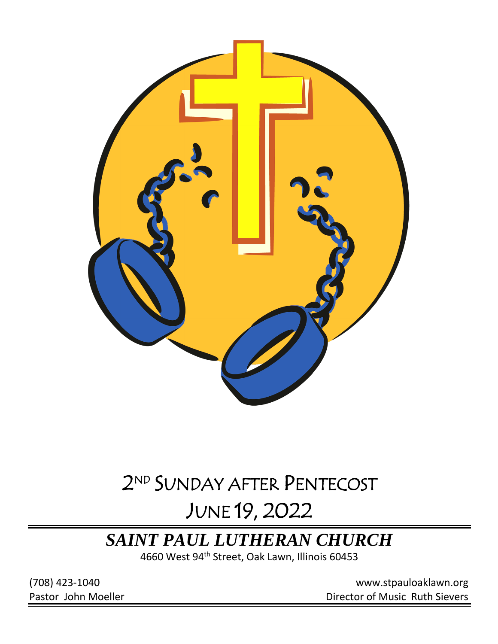

# 2 ND SUNDAY AFTER PENTECOST

# JUNE 19, 2022

## *SAINT PAUL LUTHERAN CHURCH*

4660 West 94<sup>th</sup> Street, Oak Lawn, Illinois 60453

(708) 423-1040 [www.stpauloaklawn.org](about:blank) Pastor John Moeller **Director of Music Ruth Sievers**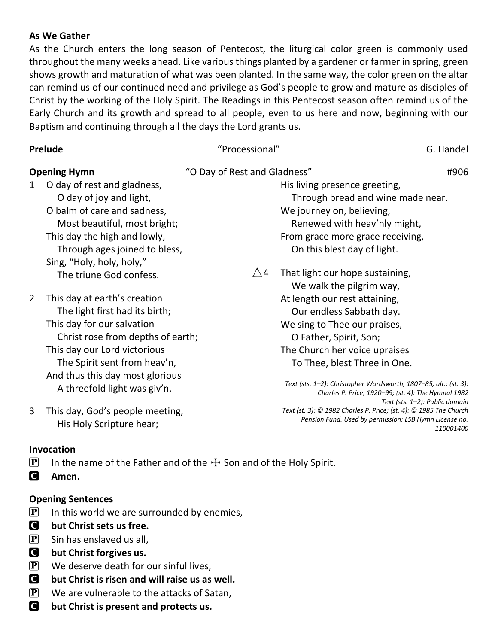#### **As We Gather**

As the Church enters the long season of Pentecost, the liturgical color green is commonly used throughout the many weeks ahead. Like various things planted by a gardener or farmer in spring, green shows growth and maturation of what was been planted. In the same way, the color green on the altar can remind us of our continued need and privilege as God's people to grow and mature as disciples of Christ by the working of the Holy Spirit. The Readings in this Pentecost season often remind us of the Early Church and its growth and spread to all people, even to us here and now, beginning with our Baptism and continuing through all the days the Lord grants us.

| <b>Prelude</b>      |                                   | "Processional"               | G. Handel                                                                                                                   |
|---------------------|-----------------------------------|------------------------------|-----------------------------------------------------------------------------------------------------------------------------|
| <b>Opening Hymn</b> |                                   | "O Day of Rest and Gladness" | #906                                                                                                                        |
| 1                   | O day of rest and gladness,       |                              | His living presence greeting,                                                                                               |
|                     | O day of joy and light,           |                              | Through bread and wine made near.                                                                                           |
|                     | O balm of care and sadness,       |                              | We journey on, believing,                                                                                                   |
|                     | Most beautiful, most bright;      |                              | Renewed with heav'nly might,                                                                                                |
|                     | This day the high and lowly,      |                              | From grace more grace receiving,                                                                                            |
|                     | Through ages joined to bless,     |                              | On this blest day of light.                                                                                                 |
|                     | Sing, "Holy, holy, holy,"         |                              |                                                                                                                             |
|                     | The triune God confess.           | $\triangle 4$                | That light our hope sustaining,                                                                                             |
|                     |                                   |                              | We walk the pilgrim way,                                                                                                    |
| 2                   | This day at earth's creation      |                              | At length our rest attaining,                                                                                               |
|                     | The light first had its birth;    |                              | Our endless Sabbath day.                                                                                                    |
|                     | This day for our salvation        |                              | We sing to Thee our praises,                                                                                                |
|                     | Christ rose from depths of earth; |                              | O Father, Spirit, Son;                                                                                                      |
|                     | This day our Lord victorious      |                              | The Church her voice upraises                                                                                               |
|                     | The Spirit sent from heav'n,      |                              | To Thee, blest Three in One.                                                                                                |
|                     | And thus this day most glorious   |                              |                                                                                                                             |
|                     | A threefold light was giv'n.      |                              | Text (sts. 1-2): Christopher Wordsworth, 1807-85, alt.; (st. 3):<br>Charles P. Price, 1920-99; (st. 4): The Hymnal 1982     |
|                     |                                   |                              | Text (sts. 1-2): Public domain                                                                                              |
| 3                   | This day, God's people meeting,   |                              | Text (st. 3): © 1982 Charles P. Price; (st. 4): © 1985 The Church<br>Pension Fund. Used by permission: LSB Hymn License no. |
|                     | His Holy Scripture hear;          |                              | 110001400                                                                                                                   |

#### **Invocation**

- **P** In the name of the Father and of the  $\div$  Son and of the Holy Spirit.
- C **Amen.**

#### **Opening Sentences**

- $\left[ \mathbf{P} \right]$  In this world we are surrounded by enemies,
- **C** but Christ sets us free.
- $\left| \mathbf{P} \right|$  Sin has enslaved us all,
- **C** but Christ forgives us.
- $\left| \mathbf{P} \right|$  We deserve death for our sinful lives,
- C **but Christ is risen and will raise us as well.**
- $\left| \mathbf{P} \right|$  We are vulnerable to the attacks of Satan,
- **C** but Christ is present and protects us.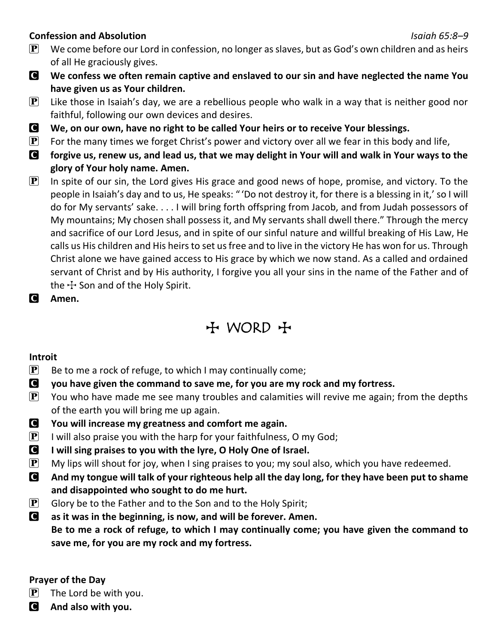#### **Confession and Absolution** *Isaiah 65:8–9*

- $\mathbf{P}$  We come before our Lord in confession, no longer as slaves, but as God's own children and as heirs of all He graciously gives.
- C **We confess we often remain captive and enslaved to our sin and have neglected the name You have given us as Your children.**
- $\mathbf{P}$  Like those in Isaiah's day, we are a rebellious people who walk in a way that is neither good nor faithful, following our own devices and desires.
- C **We, on our own, have no right to be called Your heirs or to receive Your blessings.**
- $\mathbf{P}$  For the many times we forget Christ's power and victory over all we fear in this body and life,
- C **forgive us, renew us, and lead us, that we may delight in Your will and walk in Your ways to the glory of Your holy name. Amen.**
- $\mathbf{P}$  In spite of our sin, the Lord gives His grace and good news of hope, promise, and victory. To the people in Isaiah's day and to us, He speaks: " 'Do not destroy it, for there is a blessing in it,' so I will do for My servants' sake. . . . I will bring forth offspring from Jacob, and from Judah possessors of My mountains; My chosen shall possess it, and My servants shall dwell there." Through the mercy and sacrifice of our Lord Jesus, and in spite of our sinful nature and willful breaking of His Law, He calls us His children and His heirs to set us free and to live in the victory He has won for us. Through Christ alone we have gained access to His grace by which we now stand. As a called and ordained servant of Christ and by His authority, I forgive you all your sins in the name of the Father and of the  $\pm$  Son and of the Holy Spirit.
- C **Amen.**

## $H$  WORD  $H$

### **Introit**

- $\mathbf{P}$  Be to me a rock of refuge, to which I may continually come;
- C **you have given the command to save me, for you are my rock and my fortress.**
- $\mathbf{P}$  You who have made me see many troubles and calamities will revive me again; from the depths of the earth you will bring me up again.
- C **You will increase my greatness and comfort me again.**
- **P** I will also praise you with the harp for your faithfulness, O my God;
- C **I will sing praises to you with the lyre, O Holy One of Israel.**
- $\mathbf{P}$  My lips will shout for joy, when I sing praises to you; my soul also, which you have redeemed.
- C **And my tongue will talk of your righteous help all the day long, for they have been put to shame and disappointed who sought to do me hurt.**
- $\left[ \mathbf{P} \right]$  Glory be to the Father and to the Son and to the Holy Spirit;
- C **as it was in the beginning, is now, and will be forever. Amen. Be to me a rock of refuge, to which I may continually come; you have given the command to save me, for you are my rock and my fortress.**

### **Prayer of the Day**

- $\left| \mathbf{P} \right|$  The Lord be with you.
- C **And also with you.**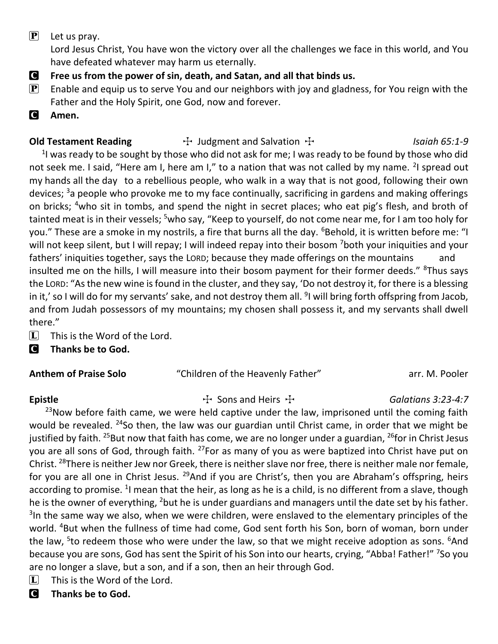$\left| \mathbf{P} \right|$  Let us pray.

Lord Jesus Christ, You have won the victory over all the challenges we face in this world, and You have defeated whatever may harm us eternally.

- C **Free us from the power of sin, death, and Satan, and all that binds us.**
- **P** Enable and equip us to serve You and our neighbors with joy and gladness, for You reign with the Father and the Holy Spirit, one God, now and forever.
- C **Amen.**

### **Old Testament Reading**  $\qquad \qquad \rightarrow$  Judgment and Salvation  $\qquad \rightarrow$  *Isaiah 65:1-9*

 $1$  was ready to be sought by those who did not ask for me; I was ready to be found by those who did not seek me. I said, "Here am I, here am I," to a nation that was not called by my name. <sup>2</sup>I spread out my hands all the day to a rebellious people, who walk in a way that is not good, following their own devices; <sup>3</sup>a people who provoke me to my face continually, sacrificing in gardens and making offerings on bricks; <sup>4</sup>who sit in tombs, and spend the night in secret places; who eat pig's flesh, and broth of tainted meat is in their vessels; <sup>5</sup>who say, "Keep to yourself, do not come near me, for I am too holy for you." These are a smoke in my nostrils, a fire that burns all the day. <sup>6</sup>Behold, it is written before me: "I will not keep silent, but I will repay; I will indeed repay into their bosom <sup>7</sup>both your iniquities and your fathers' iniquities together, says the LORD; because they made offerings on the mountains and insulted me on the hills, I will measure into their bosom payment for their former deeds." <sup>8</sup>Thus says the LORD: "As the new wine is found in the cluster, and they say, 'Do not destroy it, for there is a blessing in it,' so I will do for my servants' sake, and not destroy them all. <sup>9</sup>I will bring forth offspring from Jacob, and from Judah possessors of my mountains; my chosen shall possess it, and my servants shall dwell there."

- $\boxed{\mathbf{L}}$  This is the Word of the Lord.
- C **Thanks be to God.**

### **Anthem of Praise Solo** "Children of the Heavenly Father" arr. M. Pooler

### Epistle **The Existing Constructed Existing T** Sons and Heirs T **Galatians 3:23-4:7**

 $23$ Now before faith came, we were held captive under the law, imprisoned until the coming faith would be revealed. <sup>24</sup>So then, the law was our guardian until Christ came, in order that we might be justified by faith. <sup>25</sup>But now that faith has come, we are no longer under a guardian, <sup>26</sup>for in Christ Jesus you are all sons of God, through faith. <sup>27</sup>For as many of you as were baptized into Christ have put on Christ. <sup>28</sup>There is neither Jew nor Greek, there is neither slave nor free, there is neither male nor female, for you are all one in Christ Jesus. <sup>29</sup>And if you are Christ's, then you are Abraham's offspring, heirs according to promise. <sup>1</sup>I mean that the heir, as long as he is a child, is no different from a slave, though he is the owner of everything, <sup>2</sup>but he is under guardians and managers until the date set by his father. <sup>3</sup>In the same way we also, when we were children, were enslaved to the elementary principles of the world. <sup>4</sup>But when the fullness of time had come, God sent forth his Son, born of woman, born under the law, <sup>5</sup>to redeem those who were under the law, so that we might receive adoption as sons. <sup>6</sup>And because you are sons, God has sent the Spirit of his Son into our hearts, crying, "Abba! Father!" <sup>7</sup>So you are no longer a slave, but a son, and if a son, then an heir through God.

- $\Box$  This is the Word of the Lord.
- C **Thanks be to God.**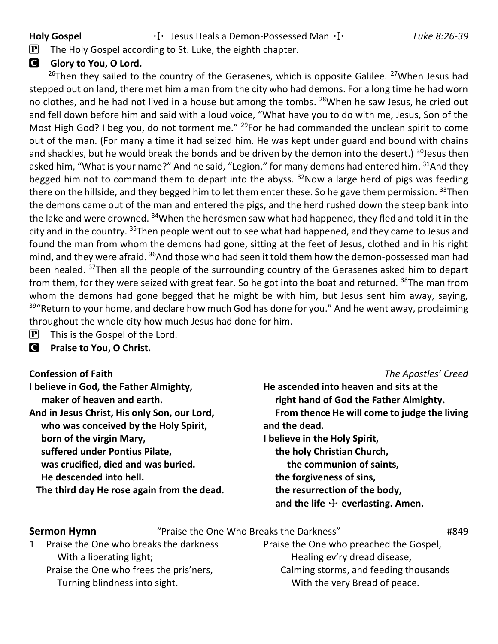Holy Gospel **The Holy Gospel** The Jesus Heals a Demon-Possessed Man  $\pm$  *Luke 8:26-39* 

 $\left[ \mathbf{P} \right]$  The Holy Gospel according to St. Luke, the eighth chapter.

### **G** Glory to You, O Lord.

<sup>26</sup>Then they sailed to the country of the Gerasenes, which is opposite Galilee. <sup>27</sup>When Jesus had stepped out on land, there met him a man from the city who had demons. For a long time he had worn no clothes, and he had not lived in a house but among the tombs. <sup>28</sup>When he saw Jesus, he cried out and fell down before him and said with a loud voice, "What have you to do with me, Jesus, Son of the Most High God? I beg you, do not torment me."  $^{29}$ For he had commanded the unclean spirit to come out of the man. (For many a time it had seized him. He was kept under guard and bound with chains and shackles, but he would break the bonds and be driven by the demon into the desert.) <sup>30</sup>Jesus then asked him, "What is your name?" And he said, "Legion," for many demons had entered him. 31And they begged him not to command them to depart into the abyss.  $32$ Now a large herd of pigs was feeding there on the hillside, and they begged him to let them enter these. So he gave them permission.  $33$ Then the demons came out of the man and entered the pigs, and the herd rushed down the steep bank into the lake and were drowned. <sup>34</sup>When the herdsmen saw what had happened, they fled and told it in the city and in the country. <sup>35</sup>Then people went out to see what had happened, and they came to Jesus and found the man from whom the demons had gone, sitting at the feet of Jesus, clothed and in his right mind, and they were afraid. <sup>36</sup>And those who had seen it told them how the demon-possessed man had been healed. <sup>37</sup>Then all the people of the surrounding country of the Gerasenes asked him to depart from them, for they were seized with great fear. So he got into the boat and returned. <sup>38</sup>The man from whom the demons had gone begged that he might be with him, but Jesus sent him away, saying,  $39$ "Return to your home, and declare how much God has done for you." And he went away, proclaiming throughout the whole city how much Jesus had done for him.

- $\mathbf{P}$  This is the Gospel of the Lord.
- C **Praise to You, O Christ.**

#### **Confession of Faith** *The Apostles' Creed*

| He ascended into heaven and sits at the      |
|----------------------------------------------|
| right hand of God the Father Almighty.       |
| From thence He will come to judge the living |
| and the dead.                                |
| I believe in the Holy Spirit,                |
| the holy Christian Church,                   |
| the communion of saints,                     |
| the forgiveness of sins,                     |
| the resurrection of the body,                |
| and the life $+$ everlasting. Amen.          |
|                                              |

#### **Sermon Hymn** "Praise the One Who Breaks the Darkness" **1849** 1 Praise the One who breaks the darkness

With a liberating light; Praise the One who frees the pris'ners, Turning blindness into sight.

Praise the One who preached the Gospel, Healing ev'ry dread disease, Calming storms, and feeding thousands With the very Bread of peace.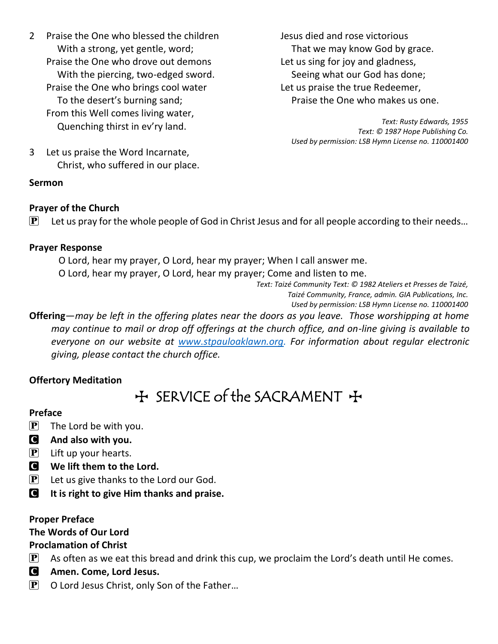- 2 Praise the One who blessed the children With a strong, yet gentle, word; Praise the One who drove out demons With the piercing, two-edged sword. Praise the One who brings cool water To the desert's burning sand; From this Well comes living water, Quenching thirst in ev'ry land.
- Jesus died and rose victorious That we may know God by grace. Let us sing for joy and gladness, Seeing what our God has done; Let us praise the true Redeemer, Praise the One who makes us one.

*Text: Rusty Edwards, 1955 Text: © 1987 Hope Publishing Co. Used by permission: LSB Hymn License no. 110001400*

3 Let us praise the Word Incarnate, Christ, who suffered in our place.

### **Sermon**

#### **Prayer of the Church**

 $\mathbf{P}$  Let us pray for the whole people of God in Christ Jesus and for all people according to their needs...

#### **Prayer Response**

O Lord, hear my prayer, O Lord, hear my prayer; When I call answer me.

O Lord, hear my prayer, O Lord, hear my prayer; Come and listen to me.

*Text: Taizé Community Text: © 1982 Ateliers et Presses de Taizé, Taizé Community, France, admin. GIA Publications, Inc.* 

*Used by permission: LSB Hymn License no. 110001400*

**Offering**—*may be left in the offering plates near the doors as you leave. Those worshipping at home may continue to mail or drop off offerings at the church office, and on-line giving is available to everyone on our website at [www.stpauloaklawn.org.](http://www.stpauloaklawn.org/) For information about regular electronic giving, please contact the church office.* 

#### **Offertory Meditation**

## $H$  SERVICE of the SACRAMENT  $H$

#### **Preface**

- $\left| \mathbf{P} \right|$  The Lord be with you.
- C **And also with you.**
- $\mathbf{P}$  Lift up your hearts.
- C **We lift them to the Lord.**
- $\mathbf{P}$  Let us give thanks to the Lord our God.
- C **It is right to give Him thanks and praise.**

#### **Proper Preface**

#### **The Words of Our Lord**

#### **Proclamation of Christ**

- $\left[ \mathbf{P} \right]$  As often as we eat this bread and drink this cup, we proclaim the Lord's death until He comes.
- C **Amen. Come, Lord Jesus.**
- $\mathbf{P}$  O Lord Jesus Christ, only Son of the Father...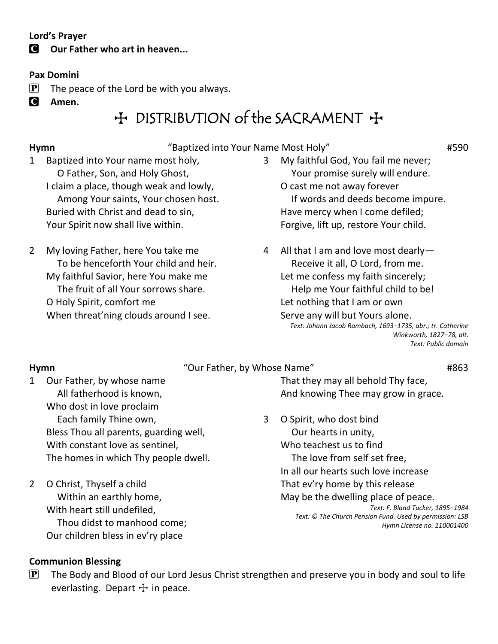#### **Lord's Prayer**

### **C** Our Father who art in heaven...

#### **Pax Domini**

- $\mathbf{P}$  The peace of the Lord be with you always.
- C **Amen.**

## $H$  DISTRIBUTION of the SACRAMENT  $H$

**Hymn** "Baptized into Your Name Most Holy" #590

- 1 Baptized into Your name most holy, O Father, Son, and Holy Ghost, I claim a place, though weak and lowly, Among Your saints, Your chosen host. Buried with Christ and dead to sin, Your Spirit now shall live within.
- 2 My loving Father, here You take me To be henceforth Your child and heir. My faithful Savior, here You make me The fruit of all Your sorrows share. O Holy Spirit, comfort me When threat'ning clouds around I see.
- 3 My faithful God, You fail me never; Your promise surely will endure. O cast me not away forever If words and deeds become impure. Have mercy when I come defiled; Forgive, lift up, restore Your child.
- 4 All that I am and love most dearly— Receive it all, O Lord, from me. Let me confess my faith sincerely; Help me Your faithful child to be! Let nothing that I am or own Serve any will but Yours alone. *Text: Johann Jacob Rambach, 1693–1735, abr.; tr. Catherine Winkworth, 1827–78, alt.*

*Text: Public domain*

**Hymn Hymn Hymn Hymn H**863

### 1 Our Father, by whose name All fatherhood is known, Who dost in love proclaim Each family Thine own, Bless Thou all parents, guarding well, With constant love as sentinel, The homes in which Thy people dwell.

2 O Christ, Thyself a child Within an earthly home, With heart still undefiled, Thou didst to manhood come; Our children bless in ev'ry place

That they may all behold Thy face, And knowing Thee may grow in grace.

3 O Spirit, who dost bind Our hearts in unity, Who teachest us to find The love from self set free, In all our hearts such love increase That ev'ry home by this release May be the dwelling place of peace. *Text: F. Bland Tucker, 1895–1984 Text: © The Church Pension Fund. Used by permission: LSB Hymn License no. 110001400*

### **Communion Blessing**

 $\mathbf{P}$  The Body and Blood of our Lord Jesus Christ strengthen and preserve you in body and soul to life everlasting. Depart  $\pm$  in peace.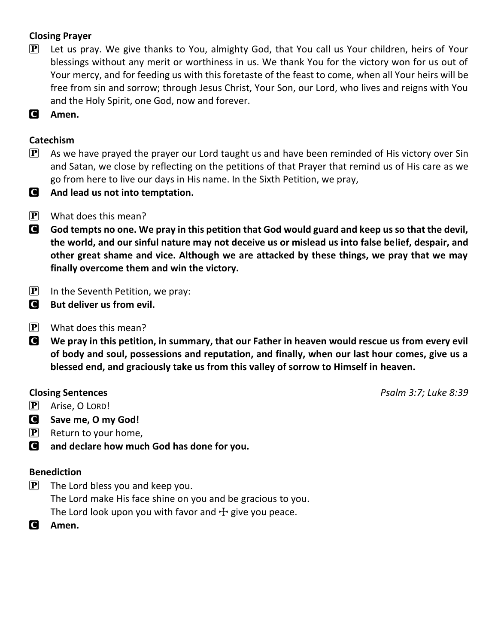### **Closing Prayer**

- $\mathbf{P}$  Let us pray. We give thanks to You, almighty God, that You call us Your children, heirs of Your blessings without any merit or worthiness in us. We thank You for the victory won for us out of Your mercy, and for feeding us with this foretaste of the feast to come, when all Your heirs will be free from sin and sorrow; through Jesus Christ, Your Son, our Lord, who lives and reigns with You and the Holy Spirit, one God, now and forever.
- C **Amen.**

#### **Catechism**

- $\mathbf{P}$  As we have prayed the prayer our Lord taught us and have been reminded of His victory over Sin and Satan, we close by reflecting on the petitions of that Prayer that remind us of His care as we go from here to live our days in His name. In the Sixth Petition, we pray,
- C **And lead us not into temptation.**
- $\mathbf{P}$  What does this mean?
- C **God tempts no one. We pray in this petition that God would guard and keep us so that the devil, the world, and our sinful nature may not deceive us or mislead us into false belief, despair, and other great shame and vice. Although we are attacked by these things, we pray that we may finally overcome them and win the victory.**
- $\left| \mathbf{P} \right|$  In the Seventh Petition, we pray:
- **C** But deliver us from evil.
- $\mathbf{P}$  What does this mean?
- C **We pray in this petition, in summary, that our Father in heaven would rescue us from every evil of body and soul, possessions and reputation, and finally, when our last hour comes, give us a blessed end, and graciously take us from this valley of sorrow to Himself in heaven.**

- P Arise, O LORD!
- C **Save me, O my God!**
- $\left| \mathbf{P} \right|$  Return to your home,
- C **and declare how much God has done for you.**

#### **Benediction**

- $\left[ \mathbf{P} \right]$  The Lord bless you and keep you. The Lord make His face shine on you and be gracious to you. The Lord look upon you with favor and  $\pm$  give you peace.
- C **Amen.**

**Closing Sentences** *Psalm 3:7; Luke 8:39*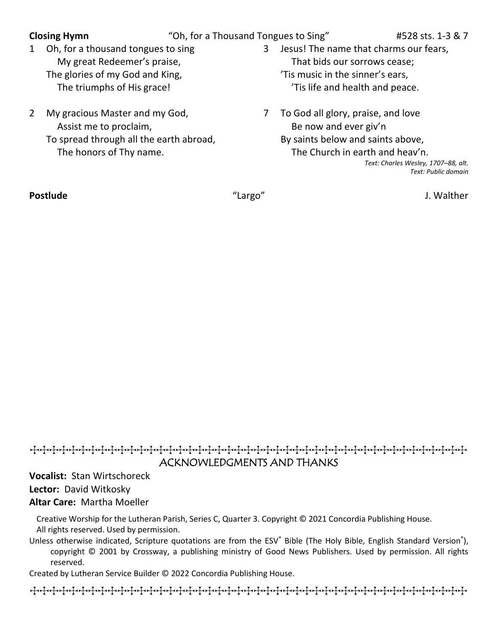**Closing Hymn** "Oh, for a Thousand Tongues to Sing" #528 sts. 1-3 & 7

- 1 Oh, for a thousand tongues to sing My great Redeemer's praise, The glories of my God and King, The triumphs of His grace!
- 2 My gracious Master and my God, Assist me to proclaim, To spread through all the earth abroad, The honors of Thy name.
- 3 Jesus! The name that charms our fears, That bids our sorrows cease; 'Tis music in the sinner's ears, 'Tis life and health and peace.
- 7 To God all glory, praise, and love Be now and ever giv'n By saints below and saints above, The Church in earth and heav'n. *Text: Charles Wesley, 1707–88, alt. Text: Public domain*

**Postlude** "Largo" J. Walther

### TTTTTTTTTTTTTTTTTTTTTTTTTTTTTTTTTTTTTTTTTTTTT ACKNOWLEDGMENTS AND THANKS

**Vocalist:** Stan Wirtschoreck **Lector:** David Witkosky **Altar Care:** Martha Moeller

Creative Worship for the Lutheran Parish, Series C, Quarter 3. Copyright © 2021 Concordia Publishing House. All rights reserved. Used by permission.

Unless otherwise indicated, Scripture quotations are from the ESV® Bible (The Holy Bible, English Standard Version®), copyright © 2001 by Crossway, a publishing ministry of Good News Publishers. Used by permission. All rights reserved.

Created by Lutheran Service Builder © 2022 Concordia Publishing House.

TTTTTTTTTTTTTTTTTTTTTTTTTTTTTTTTTTTTTTTTTTTTT